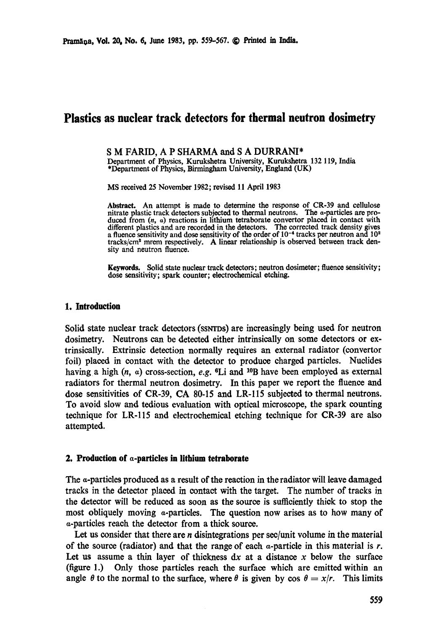# **Plastics as nuclear track detectors for thermal neutron dosimetry**

#### **S M FARID, A P SHARMA and S A** DURRANI\*

Department of Physics, Kurukshetra University, Kurukshetra 132 119, India \*Department of Physics, Birmingham University, England (UK)

MS received 25 November 1982; revised 11 April 1983

Abstract. An attempt is made to determine the response of CR-39 and cellulose nitrate plastic track detectors subjected to thermal neutrons. The a-particles are produced from (n, a) reactions in lithium tetraborate convertor placed in contact with different plastics and are recorded in the detectors. The corrected track density gives a fluence sensitivity and dose sensitivity of the order of  $10^{-4}$  tracks per neutron and  $10^{2}$ tracks/cm<sup>2</sup> mrem respectively. A linear relationship is observed between track density and neutron fluence.

**Keywords.** Solid state nuclear track detectors; neutron dosimeter; fluence sensitivity; dose sensitivity; spark counter; electrochemical etching.

### **1. Introduction**

Solid state nuclear track detectors (ssnrps) are increasingly being used for neutron dosimetry. Neutrons can be detected either intrinsically on some detectors or extrinsically. Extrinsic detection normally requires an external radiator (convertor foil) placed in contact with the detector to produce charged particles. Nuclides having a high  $(n, a)$  cross-section, *e.g.*  ${}^6Li$  and  ${}^{10}B$  have been employed as external radiators for thermal neutron dosimetry. In this paper we report the fluence and dose sensitivities of CR-39, CA 80-15 and LR-115 subjected to thermal neutrons. To avoid slow and tedious evaluation with optical microscope, the spark counting technique for LR-115 and electrochemical etching technique for CR-39 are also attempted.

#### **2. Production of a-particles in lithium tetraborate**

The a-particles produced as a result of the reaction in the radiator will leave damaged tracks in the detector placed in contact with the target. The number of tracks in the detector will be reduced as soon as the source is sufficiently thick to stop the most obliquely moving a-particles. The question now arises as to how many of a-particles reach the detector from a thick source.

Let us consider that there are  $n$  disintegrations per sec/unit volume in the material of the source (radiator) and that the range of each  $\alpha$ -particle in this material is r. Let us assume a thin layer of thickness  $dx$  at a distance x below the surface (figure 1.) Only those particles reach the surface which are emitted within an angle  $\theta$  to the normal to the surface, where  $\theta$  is given by cos  $\theta = x/r$ . This limits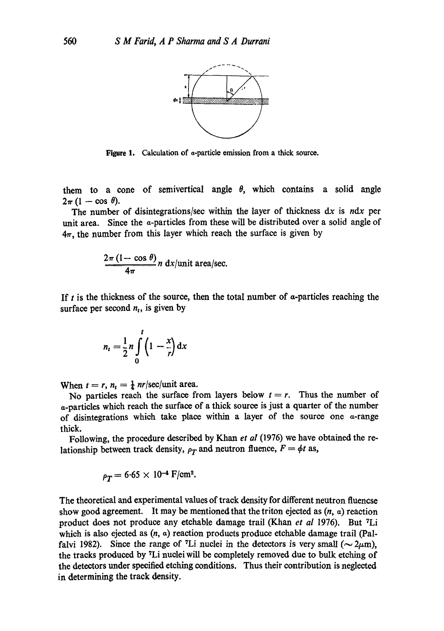

Figure 1. Calculation of a-particle emission from a thick source.

them to a cone of semivertical angle  $\theta$ , which contains a solid angle  $2\pi (1 - \cos \theta).$ 

The number of disintegrations/sec within the layer of thickness dx is *ndx* per unit area. Since the a-particles from these will be distributed over a solid angle of  $4\pi$ , the number from this layer which reach the surface is given by

$$
\frac{2\pi (1-\cos\theta)}{4\pi} n \, dx/ \text{unit area/sec}.
$$

If  $t$  is the thickness of the source, then the total number of  $\alpha$ -particles reaching the surface per second  $n_t$ , is given by

$$
n_t = \frac{1}{2}n \int\limits_0^t \left(1 - \frac{x}{r}\right) \mathrm{d}x
$$

When  $t = r$ ,  $n_t = \frac{1}{4}$  nr/sec/unit area.

No particles reach the surface from layers below  $t = r$ . Thus the number of a-particles which reach the surface of a thick source is just a quarter of the number of disintegrations which take place within a layer of the source one  $\alpha$ -range thick.

Following, the procedure described by Khan *et al* (1976) we have obtained the relationship between track density,  $\rho_T$  and neutron fluence,  $F = \phi t$  as,

$$
\rho_T = 6.65 \times 10^{-4} \text{ F/cm}^2
$$
.

The theoretical and experimental values of track density for different neutron fluencse show good agreement. It may be mentioned that the triton ejected as  $(n, a)$  reaction product does not produce any etchable damage trail (Khan *et al* 1976). But <sup>7</sup>Li which is also ejected as  $(n, a)$  reaction products produce etchable damage trail (Palfalvi 1982). Since the range of <sup>7</sup>Li nuclei in the detectors is very small ( $\sim$  2 $\mu$ m), the tracks produced by <sup>7</sup>Li nuclei will be completely removed due to bulk etching of the detectors under specified etching conditions. Thus their contribution is neglected in determining the track density.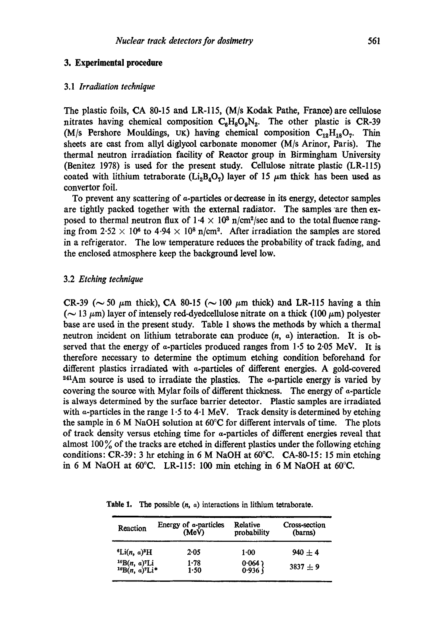### **3. Experimental procedure**

### 3.1 *Irradiation technique*

The plastic foils, CA 80-15 and LR-115,  $(M/s Kodak Pathe, France)$  are cellulose nitrates having chemical composition  $C_6H_8O_9N_2$ . The other plastic is CR-39 (M/s Pershore Mouldings, UK) having chemical composition  $C_{12}H_{18}O_7$ . Thin sheets are cast from allyl diglycol carbonate monomer  $(M/s \text{ Arinor}, \text{Paris})$ . The thermal neutron irradiation facility of Reactor group in Birmingham University (Benitez 1978) is used for the present study. Cellulose nitrate plastic (LR-115) coated with lithium tetraborate ( $Li<sub>2</sub>B<sub>4</sub>O<sub>7</sub>$ ) layer of 15  $\mu$ m thick has been used as convertor foil.

To prevent any scattering of a-particles or decrease in its energy, detector samples are tightly packed together with the external radiator. The samples are then exposed to thermal neutron flux of  $1.4 \times 10^3$  n/cm<sup>2</sup>/sec and to the total fluence ranging from  $2.52 \times 10^6$  to  $4.94 \times 10^8$  n/cm<sup>2</sup>. After irradiation the samples are stored in a refrigerator. The low temperature reduces the probability of track fading, and the enclosed atmosphere keep the background level low.

### 3.2 *Etching technique*

CR-39 ( $\sim$  50  $\mu$ m thick), CA 80-15 ( $\sim$  100  $\mu$ m thick) and LR-115 having a thin ( $\sim$  13  $\mu$ m) layer of intensely red-dyedcellulose nitrate on a thick (100  $\mu$ m) polyester base are used in the present study. Table 1 shows the methods by which a thermal neutron incident on lithium tetraborate can produce  $(n, a)$  interaction. It is observed that the energy of  $\alpha$ -particles produced ranges from 1.5 to 2.05 MeV. It is therefore necessary to determine the optimum etching condition beforehand for different plastics irradiated with a-particles of different energies. A gold-covered  $241$ Am source is used to irradiate the plastics. The  $\alpha$ -particle energy is varied by covering the source with Mylar foils of different thickness. The energy of a-particle is always determined by the surface barrier detector. Plastic samples are irradiated with  $\alpha$ -particles in the range 1.5 to 4.1 MeV. Track density is determined by etching the sample in 6 M NaOH solution at 60°C for different intervals of time. The plots of track density versus etching time for a-particles of different energies reveal that almost  $100\%$  of the tracks are etched in different plastics under the following etching conditions: CR-39: 3 hr etching in 6 M NaOH at 60°C. CA-80-15: 15 min etching in 6 M NaOH at 60°C. LR-115: 100 min etching in 6 M NaOH at 60°C.

| Reaction                                                                          | Energy of $\alpha$ -particles<br>(MeV) | Relative<br>probability | Cross-section<br>(barns) |
|-----------------------------------------------------------------------------------|----------------------------------------|-------------------------|--------------------------|
| <sup>6</sup> Li( <i>n</i> , $\alpha$ ) <sup>8</sup> H                             | 2.05                                   | $1 - 00$                | $940 + 4$                |
| ${}^{10}B(n, a)$ <sup>7</sup> Li<br>${}^{10}B(n, a)$ <sup>7</sup> Li <sup>*</sup> | 1.78<br>1.50                           | $0.064$ )<br>0.936 )    | $3837 + 9$               |

**Table 1, The** possible (n, a) interactions in lithium tetraborate.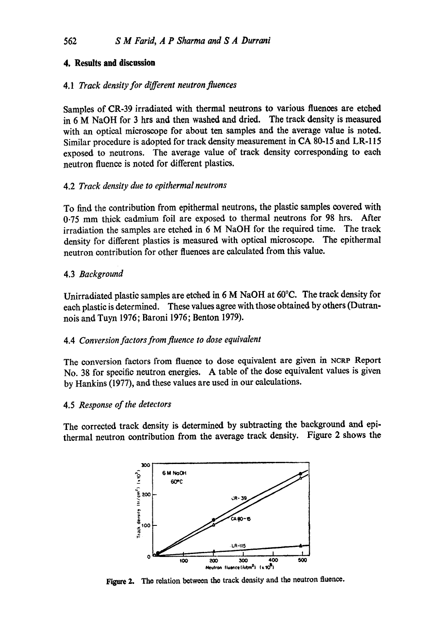# **4, Results and discussion**

# 4.1 *Track density for different neutron fluences*

Samples of CR-39 irradiated with thermal neutrons to various fluenees are etched in 6 M NaOH for 3 hrs and then washed and dried. The track density is measured with an optical microscope for about ten samples and the average value is noted. Similar procedure is adopted for track density measurement in CA 80-15 and LR-115 exposed to neutrons. The average value of track density corresponding to each neutron fluenee is noted for different plastics.

# 4.2 *Track density due to epithermal neutrons*

To find the contribution from epithermal neutrons, the plastic samples covered with 0.75 mm thick cadmium foil are exposed to thermal neutrons for 98 hrs. After irradiation the samples are etched in 6 M NaOH for the required time. The track density for different plastics is measured with optical microscope. The epithermal neutron contribution for other fluenees are calculated from this value.

# 4.3 *Background*

Unirradiated plastie samples are etched in 6 M NaOH at 60°C. The track density for each plastic is determined. These values agree with those obtained by others (Dutrannois and Tuyn 1976; Baroni 1976; Benton 1979).

## 4.4 *Conversion factors from fluence to dose equivalent*

The conversion factors from fluenee to dose equivalent are given in NCRP Report No. 38 for specific neutron energies. A table of the dose equivalent values is given by Hankins (1977), and these values are used in our calculations.

## 4.5 *Response of the detectors*

The corrected track density is determined by subtracting the background and epithermal neutron contribution from the average track density. Figure 2 shows **the** 



**Figure 2. The relation between the track density and the neutron fluence.**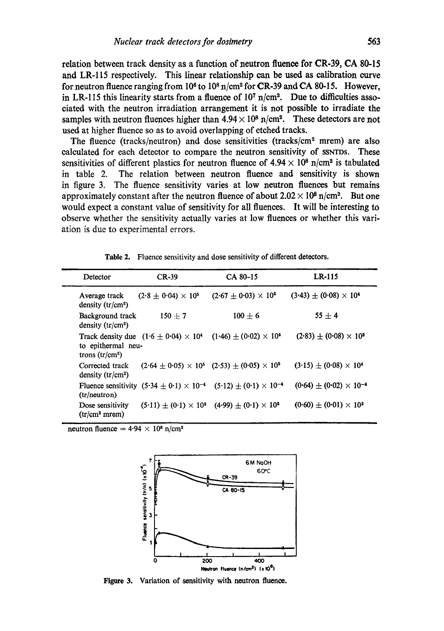relation between track density as a function of neutron fluenee for CR-39, CA 80-15 and LR-115 respectively. This linear relationship can be used as calibration curve for neutron fluence ranging from  $10^8$  to  $10^8$  n/cm<sup>2</sup> for CR-39 and CA 80-15. However, in LR-115 this linearity starts from a fluence of  $10<sup>7</sup>$  n/cm<sup>2</sup>. Due to difficulties associated with the neutron irradiation arrangement it is not possible to irradiate the samples with neutron fluences higher than  $4.94 \times 10^8$  n/cm<sup>2</sup>. These detectors are not used at higher fluence so as to avoid overlapping of etched tracks.

The fluence (tracks/neutron) and dose sensitivities (tracks/ $\text{cm}^2$  mrem) are also calculated for each detector to compare the neutron sensitivity of ssyros. These sensitivities of different plastics for neutron fluence of  $4.94 \times 10^8$  n/cm<sup>2</sup> is tabulated in table 2. The relation between neutron fluenee and sensitivity is shown in figure 3. The fluenee sensitivity varies at low neutron fluenees but remains approximately constant after the neutron fluence of about  $2.02 \times 10^8$  n/cm<sup>2</sup>. But one would expect a constant value of sensitivity for all fluenees. It will be interesting to observe whether the sensitivity actually varies at low fluenees or whether this variation is due to experimental errors.

| Detector                                      | $CR-39$                                        | CA 80-15                                                                              | LR-115                             |
|-----------------------------------------------|------------------------------------------------|---------------------------------------------------------------------------------------|------------------------------------|
| Average track<br>density $(tr/cm2)$           | $(2.8 \pm 0.04) \times 10^5$                   | $(2.67 \pm 0.03) \times 10^5$                                                         | $(3.43) \pm (0.08) \times 10^4$    |
| Background track<br>density $(tr/cm2)$        | $150 + 7$                                      | $100 + 6$                                                                             | $55 + 4$                           |
| to epithermal neu-<br>trons $(tr/cm2)$        | Track density due $(1.6 \pm 0.04) \times 10^4$ | $(1.46) \pm (0.02) \times 10^4$                                                       | $(2.83) \pm (0.08) \times 10^3$    |
| Corrected track<br>density $(tr/cm2)$         |                                                | $(2.64 \pm 0.05) \times 10^5$ $(2.53) \pm (0.05) \times 10^5$                         | $(3.15) \pm (0.08) \times 10^4$    |
| (tr/neutron)                                  |                                                | Fluence sensitivity $(5.34 \pm 0.1) \times 10^{-4}$ $(5.12) \pm (0.1) \times 10^{-4}$ | $(0.64) \pm (0.02) \times 10^{-4}$ |
| Dose sensitivity<br>(tr/cm <sup>2</sup> mrem) |                                                | $(5.11) \pm (0.1) \times 10^2$ $(4.99) \pm (0.1) \times 10^2$                         | $(0.60) \pm (0.01) \times 10^2$    |

**Table** 2. Fluence sensitivity and dose sensitivity of different detectors.

neutron fluence =  $4.94 \times 10^8$  n/cm<sup>2</sup>



Figure 3. Variation of sensitivity with neutron fluence.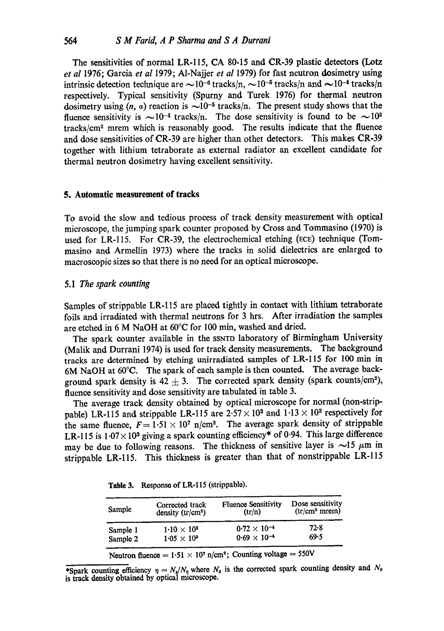The sensitivities of normal LR-115, CA 80-15 and CR-39 plastic detectors (Lotz *et al* 1976; Garcia *et al* 1979; A1-Najjer *et al* 1979) for fast neutron dosimetry using intrinsic detection technique are  $\sim 10^{-6}$  tracks/n,  $\sim 10^{-5}$  tracks/n and  $\sim 10^{-4}$  tracks/n respectively. Typical sensitivity (Spurny and Turek 1976) for thermal neutron dosimetry using  $(n, a)$  reaction is  $\sim 10^{-5}$  tracks/n. The present study shows that the fluence sensitivity is  $\sim 10^{-4}$  tracks/n. The dose sensitivity is found to be  $\sim 10^{2}$  $tracks/cm<sup>2</sup>$  mrem which is reasonably good. The results indicate that the fluence and dose sensitivities of CR-39 are higher than other detectors. This makes CR-39 together with lithium tetraborate as external radiator an excellent candidate for thermal neutron dosimetry having excellent sensitivity.

#### **5. Automatic measurement of tracks**

To avoid the slow and tedious process of track density measurement with optical microscope, the jumping spark counter proposed by Cross and Tommasino (1970) is used for LR-115. For CR-39, the electrochemical etching (ECE) technique (Tommasino and Armellin 1973) where the tracks in solid dielectrics are enlarged to macroscopic sizes so that there is no need for an optical microscope.

### 5.1 *The spark counting*

Samples of strippable LR-115 are placed tightly in contact with lithium tetraborate foils and irradiated with thermal neutrons for 3 hrs. After irradiation the samples are etched in 6 M NaOH at 60°C for 100 min, washed and dried.

The spark counter available in the SSNTD laboratory of Birmingham University (Malik and Durrani 1974) is used for track density measurements. The background tracks are determined by etching unirradiated samples of LR-115 for 100 min in 6M NaOH at 60°C. The spark of each sample is then counted. The average background spark density is 42  $\pm$  3. The corrected spark density (spark counts/cm<sup>2</sup>), fluence sensitivity and dose sensitivity are tabulated in table 3.

The average track density obtained by optical microscope for normal (non-strippable) LR-115 and strippable LR-115 are  $2.57 \times 10^3$  and  $1.13 \times 10^3$  respectively for the same fluence,  $F = 1.51 \times 10^7$  n/cm<sup>2</sup>. The average spark density of strippable LR-115 is  $1.07 \times 10^3$  giving a spark counting efficiency\* of 0.94. This large difference may be due to following reasons. The thickness of sensitive layer is  $\sim$ 15  $\mu$ m in strippable LR-115. This thickness is greater than that of nonstrippable LR-115

| Sample   | Corrected track<br>density $(tr/cm2)$ | <b>Fluence Sensitivity</b><br>(tr/n) | Dose sensitivity<br>(tr/cm <sup>2</sup> mrem) |
|----------|---------------------------------------|--------------------------------------|-----------------------------------------------|
| Sample 1 | $1.10 \times 10^{3}$                  | $0.72 \times 10^{-4}$                | $72-8$                                        |
| Sample 2 | $1.05 \times 10^{3}$                  | $0.69 \times 10^{-4}$                | 69.5                                          |

**Table** 3. Response of LR-115 (strippable).

Neutron fluence =  $1.51 \times 10^{7}$  n/cm<sup>2</sup>; Counting voltage = 550V

\*Spark counting efficiency  $\eta = N_s/N_0$  where  $N_s$  is the corrected spark counting density and  $N_0$ is track density obtained by optical microscope.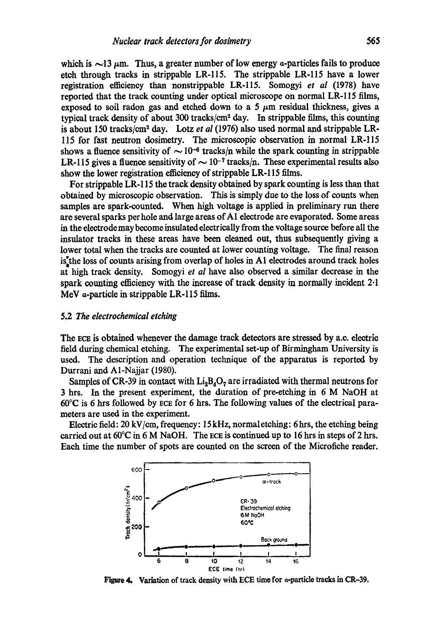which is  $\sim$ 13  $\mu$ m. Thus, a greater number of low energy *a*-particles fails to produce etch through tracks in strippable LR-115. The strippable LR-115 have a lower registration efficiency than nonstrippable LR-115. Somogyi *et al* (1978) have reported that the track counting under optical microscope on normal LR-115 films, exposed to soil radon gas and etched down to a 5  $\mu$ m residual thickness, gives a typical track density of about  $300$  tracks/cm<sup>2</sup> day. In strippable films, this counting is about 150 tracks/cm<sup>2</sup> day. Lotz et al (1976) also used normal and strippable LR-115 for fast neutron dosimetry. The microscopic observation in normal LR-115 shows a fluence sensitivity of  $\sim 10^{-6}$  tracks/n while the spark counting in strippable LR-115 gives a fluence sensitivity of  $\sim 10^{-7}$  tracks/n. These experimental results also show the lower registration efficiency of strippable LR-115 films.

For strippable LR-115 the track density obtained by spark counting is less than that obtained by microscopic observation. This is simply due to the loss of counts when samples are spark-counted. When high voltage is applied in preliminary run there are several sparks per hole and large areas orAl electrode are evaporated. Some areas in the electrodemay become insulated electrically from the voltage source before all the insulator tracks in these areas have been cleaned out, thus subsequently giving a lower total when the tracks are counted at lower counting voltage. The final reason  $is<sup>*</sup>$  the loss of counts arising from overlap of holes in A1 electrodes around track holes at high track density. Somogyi *et al* have also observed a similar decrease in the spark counting efficiency with the increase of track density in normally incident 2.1 MeV a-particle in strippable LR-115 films.

#### 5,2 *The electrochemical etching*

The ECE is obtained whenever the damage track detectors are stressed by a.c. electric field during chemical etching. The experimental set-up of Birmingham University is used. The description and operation technique of the apparatus is reported by Durrani and A1-Najjar (1980).

Samples of CR-39 in contact with  $Li<sub>2</sub>B<sub>4</sub>O<sub>7</sub>$  are irradiated with thermal neutrons for 3 hrs. In the present experiment, the duration of pre-etehing in 6 M NaOH at  $60^{\circ}$ C is 6 hrs followed by ECE for 6 hrs. The following values of the electrical parameters are used in the experiment.

Electric field: 20 kV/cm, frequency: 15 kHz, normaletehing: 6 hrs, the etching being carried out at  $60^{\circ}\text{C}$  in 6 M NaOH. The ECE is continued up to 16 hrs in steps of 2 hrs. Each time the number of spots are counted on the screen of the Microfiche reader.



Figure 4. Variation of track density with ECE time for  $\alpha$ -particle tracks in CR-39.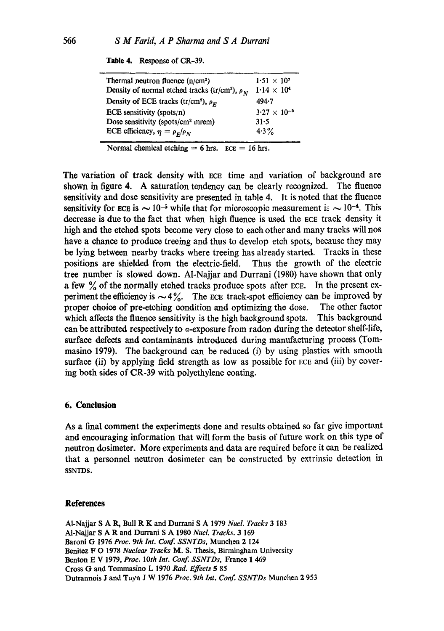| Table 4. |  | Response of CR-39. |
|----------|--|--------------------|
|----------|--|--------------------|

| Thermal neutron fluence $(n/cm^2)$<br>Density of normal etched tracks (tr/cm <sup>2</sup> ), $\rho_N$ | $1.51 \times 10^{7}$<br>$1.14 \times 10^{4}$ |
|-------------------------------------------------------------------------------------------------------|----------------------------------------------|
| Density of ECE tracks (tr/cm <sup>2</sup> ), $\rho_F$                                                 | 494.7                                        |
| ECE sensitivity (spots/n)                                                                             | $3.27 \times 10^{-5}$                        |
| Dose sensitivity (spots/cm <sup>2</sup> mrem)                                                         | 31.5                                         |
| ECE efficiency, $\eta = \rho_F/\rho_N$                                                                | $4.3\%$                                      |

Normal chemical etching  $= 6$  hrs. ECE  $= 16$  hrs.

The variation of track density with ECE time and variation of background are shown in figure 4. A saturation tendency can be dearly recognized. The fluence sensitivity and dose sensitivity are presented in table 4. It is noted that the fluenee sensitivity for ECE is  $\sim 10^{-5}$  while that for microscopic measurement is  $\sim 10^{-4}$ . This decrease is due to the fact that when high fluenee is used the ECE track density it high and the etched spots become very close to each other and many tracks will nos have a chance to produce treeing and thus to develop etch spots, because they may be lying between nearby tracks where treeing has already started. Tracks in these positions are shielded from the electric-field. Thus the growth of the electric tree number is slowed down. AI-Najjar and Durrani (1980) have shown that only a few % of the normally etched tracks produce spots after ECE. In the present experiment the efficiency is  $\sim 4\%$ . The ECE track-spot efficiency can be improved by proper choice of pre-etching condition and optimizing the dose. The other factor which affects the fluence sensitivity is the high background spots. This background can be attributed respectively to  $\alpha$ -exposure from radon during the detector shelf-life, surface defects and contaminants introduced during manufacturing process (Tommasino 1979). The background can be reduced (i) by using plastics with smooth surface (ii) by applying field strength as low as possible for ECE and (iii) by covering both sides of CR-39 with polyethylene coating.

### **6. Conclusion**

As a final comment the experiments done and results obtained so far give important and encouraging information that will form the basis of future work on this type of neutron dosimeter. More experiments and data are required before it can be realized that a personnel neutron dosimeter can be constructed by extrinsic detection in SSNTDS.

#### **References**

AI-Najjar S A R, Bull R K and Durrani S A 1979 *Nucl. Tracks* 3 183 A1-Najjar S A R and Durrani S A 1980 *Nucl. Tracks.* 3 169 Baroni G 1976 *Prec. 9th Int. Conf. SSNTDs,* Munchen 2 124 Bonitoz F O 1978 *Nuclear Tracks* M. S. Thesis, Birmingham University Benton E V 1979, *Prec. lOth Int. Conf. SSNTDs,* France I 469 Cross G and Tommasino L 1970 *Rad. Effects* 5 85 Dutrannois J and Tuyn J W 1976 *Prec. 9th Int. Conf. SSNTDs* Munchen 2 953